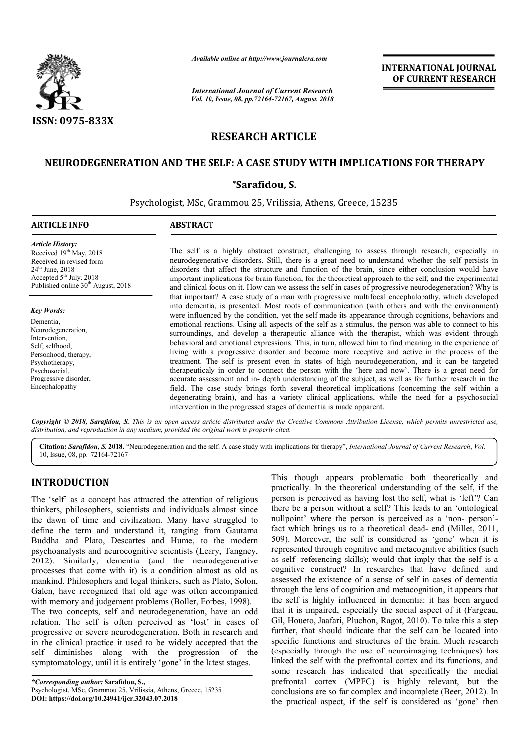

*Available online at http://www.journalcra.com*

*International Journal of Current Research Vol. 10, Issue, 08, pp.72164-72167, August, 2018* **INTERNATIONAL JOURNAL OF CURRENT RESEARCH**

# **RESEARCH ARTICLE**

## <code>NEURODEGENERATION</code> AND THE SELF: A CASE STUDY WITH IMPLICATIONS FOR THERAPY</code>

## **\*Sarafidou, S.**

Psychologist, MSc, Grammou 25, Vrilissia, Athens, Greece, 15235

### **ARTICLE INFO ABSTRACT**

*Article History:* Received 19th May, 2018 Received in revised form 24th June, 2018  $\frac{201}{3}$  July, 2018 Published online 30<sup>th</sup> August, 2018

*Key Words:* Dementia, Neurodegeneration, Intervention, Self, selfhood, Personhood, therapy, Psychotherapy, Psychosocial, Progressive disorder,

Encephalopathy

The self is a highly abstract construct, challenging to assess through research, especially in neurodegenerative disorders. Still, there is a great need to understand whether the self persists in disorders that affect the structure and function of the brain, since either conclusion would have important implications for brain function, for the theoretical approach to the self, and the experimental and clinical focus on it. How can we assess the self in cases of progressive neurodegeneration? Why is that important? A case study of a man with progressive multifocal encephalopathy, which developed into dementia, is presented. Most roots of communication (with others and with the environment) The self is a highly abstract construct, challenging to assess through research, especially in neurodegenerative disorders. Still, there is a great need to understand whether the self persists in disorders that affect the emotional reactions. Using all aspects of the self as a stimulus, the person was able to connect to his surroundings, and develop a therapeutic alliance with the therapist, which was evident through behavioral and emotional expressions. This, in turn, allowed him to find meaning in the experience of living with a progressive disorder and become more receptive and active in the process of the treatment. The self is present even in states of high neurodegeneration, and it can b therapeuticaly in order to connect the person with the 'here and now'. There is a great need for accurate assessment and in- depth understanding of the subject, as well as for further research in the field. The case study brings forth several theoretical implications (concerning the self within a degenerating brain), and has a variety clinical applications, while the need for a psychosocial intervention in the progressed stages of dementia is made apparent. emotional reactions. Using all aspects of the self as a stimulus, the person was able to connect to his surroundings, and develop a therapeutic alliance with the therapist, which was evident through behavioral and emotiona therapeuticaly in order to connect the person with the 'here and now'. There is a great accurate assessment and in- depth understanding of the subject, as well as for further resea field. The case study brings forth severa

Copyright © 2018, Sarafidou, S. This is an open access article distributed under the Creative Commons Attribution License, which permits unrestricted use, *distribution, and reproduction in any medium, provided the original work is properly cited.*

Citation: Sarafidou, S. 2018. "Neurodegeneration and the self: A case study with implications for therapy", *International Journal of Current Research*, *Vol.* 10, Issue, 08, pp. 72164-72167

## **INTRODUCTION**

The 'self' as a concept has attracted the attention of religious thinkers, philosophers, scientists and individuals almost since the dawn of time and civilization. Many have struggled to define the term and understand it, ranging from Gautama Buddha and Plato, Descartes and Hume, to the modern psychoanalysts and neurocognitive scientists (Leary, Tangney, 2012). Similarly, dementia (and the neurodegenerative processes that come with it) is a condition almost as old as mankind. Philosophers and legal thinkers, such as Plato, Solon, Galen, have recognized that old age was often accompanied with memory and judgement problems (Boller, Forbes, 1998). The two concepts, self and neurodegeneration, have an odd relation. The self is often perceived as 'lost' in cases of progressive or severe neurodegeneration. Both in research and in the clinical practice it used to be widely accepted that the ato, Descartes and Hume, to the modern<br>nd neurocognitive scientists (Leary, Tangney,<br>y, dementia (and the neurodegenerative<br>ome with it) is a condition almost as old as<br>ophers and legal thinkers, such as Plato, Solon,<br>ogni

self diminishes along with the progression of the symptomatology, until it is entirely 'gone' in the latest stages.

*\*Corresponding author:* **Sarafidou, S.,** Psychologist, MSc, Grammou 25, Vrilissia, Athens, Greece, 15235 **DOI: https://doi.org/10.24941/ijcr.32043.07.2018**

This though appears problematic both theoretically and practically. In the theoretical understanding of the self, if the person is perceived as having lost the self, what is 'left'? Can there be a person without a self? This leads to an 'ontological nullpoint' where the person is perceived as a 'non- person'fact which brings us to a theoretical dead- end (Millet, 2011, 509). Moreover, the self is considered as 'gone' when it is 509). Moreover, the self is considered as 'gone' when it is represented through cognitive and metacognitive abilities (such as self- referencing skills); would that imply that the self is a cognitive construct? In researches that have defined and assessed the existence of a sense of self in cases of dementia through the lens of cognition and metacognition, it appears that the self is highly influenced in dementia: it has been that it is impaired, especially the social aspect of it (Fargeau, Gil, Houeto, Jaafari, Pluchon, Ragot, 2010). To take this a step further, that should indicate that the self can be located into specific functions and structures of the brain. Much research (especially through the use of neuroimaging techniques) has linked the self with the prefrontal cortex and its functions, and some research has indicated that specifically the medial prefrontal cortex (MPFC) is highly relevant, but the conclusions are so far complex and incomplete (Beer, 2012). In the practical aspect, if the self is considered as 'gone' then practically. In the theoretical understanding of the self, if the<br>person is perceived as having lost the self, what is 'left'? Can<br>there be a person without a self? This leads to an 'ontological<br>nullpoint' where the person assessed the existence of a sense of self in cases of dementia<br>through the lens of cognition and metacognition, it appears that<br>the self is highly influenced in dementia: it has been argued that it is impaired, especially the social aspect of it (Fargeau, Gil, Houeto, Jaafari, Pluchon, Ragot, 2010). To take this a step further, that should indicate that the self can be located into specific functions and stru **INTERNATIONAL JOURNAL EXECUTE CONTROLLY CONTROLLY (CONTROLLY Algoen 2913**<br> **OF CURRENT RESEARCH**<br> **OF CURRENT RESEARCH**<br> **OF CURRENT RESEARCH**<br> **OF CURRENT RESEARCH**<br> **OUIS**<br> **COUIS**<br> **COUIS**<br> **COUIS**<br> **COUIS**<br> **COUIS**<br>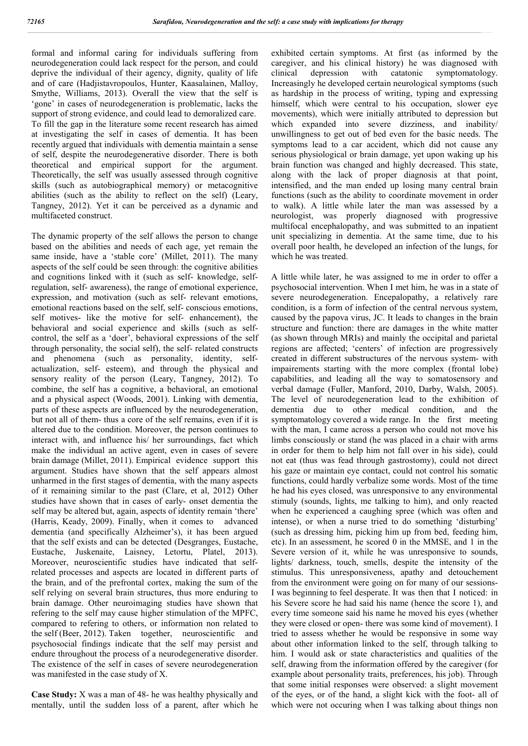formal and informal caring for individuals suffering from neurodegeneration could lack respect for the person, and could deprive the individual of their agency, dignity, quality of life and of care (Hadjistavropoulos, Hunter, Kaasalainen, Malloy, Smythe, Williams, 2013). Overall the view that the self is 'gone' in cases of neurodegeneration is problematic, lacks the support of strong evidence, and could lead to demoralized care. To fill the gap in the literature some recent research has aimed at investigating the self in cases of dementia. It has been recently argued that individuals with dementia maintain a sense of self, despite the neurodegenerative disorder. There is both theoretical and empirical support for the argument. Theoretically, the self was usually assessed through cognitive skills (such as autobiographical memory) or metacognitive abilities (such as the ability to reflect on the self) (Leary, Tangney, 2012). Yet it can be perceived as a dynamic and multifaceted construct.

The dynamic property of the self allows the person to change based on the abilities and needs of each age, yet remain the same inside, have a 'stable core' (Millet, 2011). The many aspects of the self could be seen through: the cognitive abilities and cognitions linked with it (such as self- knowledge, selfregulation, self- awareness), the range of emotional experience, expression, and motivation (such as self- relevant emotions, emotional reactions based on the self, self- conscious emotions, self motives- like the motive for self- enhancement), the behavioral and social experience and skills (such as selfcontrol, the self as a 'doer', behavioral expressions of the self through personality, the social self), the self- related constructs and phenomena (such as personality, identity, selfactualization, self- esteem), and through the physical and sensory reality of the person (Leary, Tangney, 2012). To combine, the self has a cognitive, a behavioral, an emotional and a physical aspect (Woods, 2001). Linking with dementia, parts of these aspects are influenced by the neurodegeneration, but not all of them- thus a core of the self remains, even if it is altered due to the condition. Moreover, the person continues to interact with, and influence his/ her surroundings, fact which make the individual an active agent, even in cases of severe brain damage (Millet, 2011). Empirical evidence support this argument. Studies have shown that the self appears almost unharmed in the first stages of dementia, with the many aspects of it remaining similar to the past (Clare, et al, 2012) Other studies have shown that in cases of early- onset dementia the self may be altered but, again, aspects of identity remain 'there' (Harris, Keady, 2009). Finally, when it comes to advanced dementia (and specifically Alzheimer's), it has been argued that the self exists and can be detected (Desgranges, Eustache, Eustache, Juskenaite, Laisney, Letortu, Platel, 2013). Moreover, neuroscientific studies have indicated that selfrelated processes and aspects are located in different parts of the brain, and of the prefrontal cortex, making the sum of the self relying on several brain structures, thus more enduring to brain damage. Other neuroimaging studies have shown that refering to the self may cause higher stimulation of the MPFC, compared to refering to others, or information non related to the self (Beer, 2012). Taken together, neuroscientific and psychosocial findings indicate that the self may persist and endure throughout the process of a neurodegenerative disorder. The existence of the self in cases of severe neurodegeneration was manifested in the case study of X.

**Case Study:** X was a man of 48- he was healthy physically and mentally, until the sudden loss of a parent, after which he exhibited certain symptoms. At first (as informed by the caregiver, and his clinical history) he was diagnosed with clinical depression with catatonic symptomatology. Increasingly he developed certain neurological symptoms (such as hardship in the process of writing, typing and expressing himself, which were central to his occupation, slower eye movements), which were initially attributed to depression but which expanded into severe dizziness, and inability/ unwillingness to get out of bed even for the basic needs. The symptoms lead to a car accident, which did not cause any serious physiological or brain damage, yet upon waking up his brain function was changed and highly decreased. This state, along with the lack of proper diagnosis at that point, intensified, and the man ended up losing many central brain functions (such as the ability to coordinate movement in order to walk). A little while later the man was assessed by a neurologist, was properly diagnosed with progressive multifocal encephalopathy, and was submitted to an inpatient unit specializing in dementia. At the same time, due to his overall poor health, he developed an infection of the lungs, for which he was treated.

A little while later, he was assigned to me in order to offer a psychosocial intervention. When I met him, he was in a state of severe neurodegeneration. Encepalopathy, a relatively rare condition, is a form of infection of the central nervous system, caused by the papova virus, JC. It leads to changes in the brain structure and function: there are damages in the white matter (as shown through MRIs) and mainly the occipital and parietal regions are affected; 'centers' of infection are progressively created in different substructures of the nervous system- with impairements starting with the more complex (frontal lobe) capabilities, and leading all the way to somatosensory and verbal damage (Fuller, Manford, 2010, Darby, Walsh, 2005). The level of neurodegeneration lead to the exhibition of dementia due to other medical condition, and the symptomatology covered a wide range. In the first meeting with the man, I came across a person who could not move his limbs consciously or stand (he was placed in a chair with arms in order for them to help him not fall over in his side), could not eat (thus was fead through gastrostomy), could not direct his gaze or maintain eye contact, could not control his somatic functions, could hardly verbalize some words. Most of the time he had his eyes closed, was unresponsive to any environmental stimuly (sounds, lights, me talking to him), and only reacted when he experienced a caughing spree (which was often and intense), or when a nurse tried to do something 'disturbing' (such as dressing him, picking him up from bed, feeding him, etc). In an assessment, he scored 0 in the MMSE, and 1 in the Severe version of it, while he was unresponsive to sounds, lights/ darkness, touch, smells, despite the intensity of the stimulus. This unresponsiveness, apathy and detouchement from the environment were going on for many of our sessions-I was beginning to feel desperate. It was then that I noticed: in his Severe score he had said his name (hence the score 1), and every time someone said his name he moved his eyes (whether they were closed or open- there was some kind of movement). I tried to assess whether he would be responsive in some way about other information linked to the self, through talking to him. I would ask or state characteristics and qualities of the self, drawing from the information offered by the caregiver (for example about personality traits, preferences, his job). Through that some initial responses were observed: a slight movement of the eyes, or of the hand, a slight kick with the foot- all of which were not occuring when I was talking about things non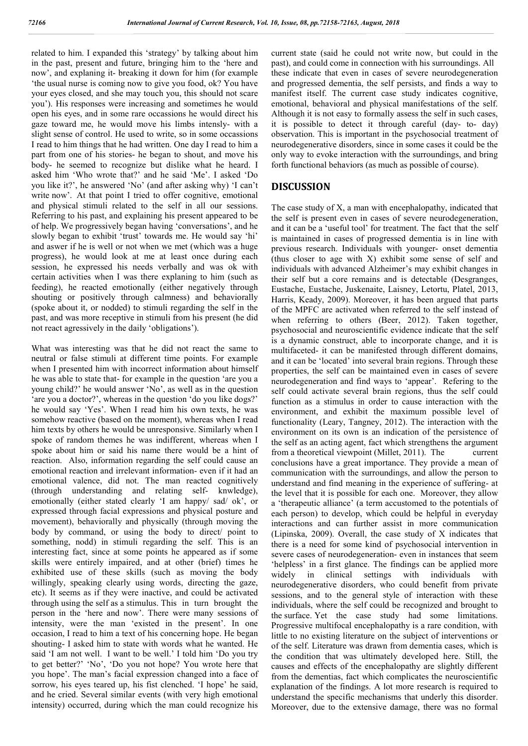related to him. I expanded this 'strategy' by talking about him in the past, present and future, bringing him to the 'here and now', and explaning it- breaking it down for him (for example 'the usual nurse is coming now to give you food, ok? You have your eyes closed, and she may touch you, this should not scare you'). His responses were increasing and sometimes he would open his eyes, and in some rare occassions he would direct his gaze toward me, he would move his limbs intensly- with a slight sense of control. He used to write, so in some occassions I read to him things that he had written. One day I read to him a part from one of his stories- he began to shout, and move his body- he seemed to recognize but dislike what he heard. I asked him 'Who wrote that?' and he said 'Me'. I asked 'Do you like it?', he answered 'No' (and after asking why) 'I can't write now'. At that point I tried to offer cognitive, emotional and physical stimuli related to the self in all our sessions. Referring to his past, and explaining his present appeared to be of help. We progressively began having 'conversations', and he slowly began to exhibit 'trust' towards me. He would say 'hi' and aswer if he is well or not when we met (which was a huge progress), he would look at me at least once during each session, he expressed his needs verbally and was ok with certain activities when I was there explaning to him (such as feeding), he reacted emotionally (either negatively through shouting or positively through calmness) and behaviorally (spoke about it, or nodded) to stimuli regarding the self in the past, and was more receptive in stimuli from his present (he did not react agressively in the daily 'obligations').

What was interesting was that he did not react the same to neutral or false stimuli at different time points. For example when I presented him with incorrect information about himself he was able to state that- for example in the question 'are you a young child?' he would answer 'No', as well as in the question 'are you a doctor?', whereas in the question 'do you like dogs?' he would say 'Yes'. When I read him his own texts, he was somehow reactive (based on the moment), whereas when I read him texts by others he would be unresponsive. Similarly when I spoke of random themes he was indifferent, whereas when I spoke about him or said his name there would be a hint of reaction. Also, information regarding the self could cause an emotional reaction and irrelevant information- even if it had an emotional valence, did not. The man reacted cognitively (through understanding and relating self- knwledge), emotionally (either stated clearly 'I am happy/ sad/ ok', or expressed through facial expressions and physical posture and movement), behaviorally and physically (through moving the body by command, or using the body to direct/ point to something, nodd) in stimuli regarding the self. This is an interesting fact, since at some points he appeared as if some skills were entirely impaired, and at other (brief) times he exhibited use of these skills (such as moving the body willingly, speaking clearly using words, directing the gaze, etc). It seems as if they were inactive, and could be activated through using the self as a stimulus. This in turn brought the person in the 'here and now'. There were many sessions of intensity, were the man 'existed in the present'. In one occasion, I read to him a text of his concerning hope. He began shouting- I asked him to state with words what he wanted. He said 'I am not well. I want to be well.' I told him 'Do you try to get better?' 'No', 'Do you not hope? You wrote here that you hope'. The man's facial expression changed into a face of sorrow, his eyes teared up, his fist clenched. 'I hope' he said, and he cried. Several similar events (with very high emotional intensity) occurred, during which the man could recognize his

current state (said he could not write now, but could in the past), and could come in connection with his surroundings. All these indicate that even in cases of severe neurodegeneration and progressed dementia, the self persists, and finds a way to manifest itself. The current case study indicates cognitive, emotional, behavioral and physical manifestations of the self. Although it is not easy to formally assess the self in such cases, it is possible to detect it through careful (day- to- day) observation. This is important in the psychosocial treatment of neurodegenerative disorders, since in some cases it could be the only way to evoke interaction with the surroundings, and bring forth functional behaviors (as much as possible of course).

## **DISCUSSION**

The case study of X, a man with encephalopathy, indicated that the self is present even in cases of severe neurodegeneration, and it can be a 'useful tool' for treatment. The fact that the self is maintained in cases of progressed dementia is in line with previous research. Individuals with younger- onset dementia (thus closer to age with X) exhibit some sense of self and individuals with advanced Alzheimer's may exhibit changes in their self but a core remains and is detectable (Desgranges, Eustache, Eustache, Juskenaite, Laisney, Letortu, Platel, 2013, Harris, Keady, 2009). Moreover, it has been argued that parts of the MPFC are activated when referred to the self instead of when referring to others (Beer, 2012). Taken together, psychosocial and neuroscientific evidence indicate that the self is a dynamic construct, able to incorporate change, and it is multifaceted- it can be manifested through different domains, and it can be 'located' into several brain regions. Through these properties, the self can be maintained even in cases of severe neurodegeneration and find ways to 'appear'. Refering to the self could activate several brain regions, thus the self could function as a stimulus in order to cause interaction with the environment, and exhibit the maximum possible level of functionality (Leary, Tangney, 2012). The interaction with the environment on its own is an indication of the persistence of the self as an acting agent, fact which strengthens the argument from a theoretical viewpoint (Millet, 2011). The current conclusions have a great importance. They provide a mean of communication with the surroundings, and allow the person to understand and find meaning in the experience of suffering- at the level that it is possible for each one. Moreover, they allow a 'therapeutic alliance' (a term accustomed to the potentials of each person) to develop, which could be helpful in everyday interactions and can further assist in more communication (Lipinska, 2009). Overall, the case study of X indicates that there is a need for some kind of psychosocial intervention in severe cases of neurodegeneration- even in instances that seem 'helpless' in a first glance. The findings can be applied more widely in clinical settings with individuals with neurodegenerative disorders, who could benefit from private sessions, and to the general style of interaction with these individuals, where the self could be recognized and brought to the surface. Yet the case study had some limitations. Progressive multifocal encephalopathy is a rare condition, with little to no existing literature on the subject of interventions or of the self. Literature was drawn from dementia cases, which is the condition that was ultimately developed here. Still, the causes and effects of the encephalopathy are slightly different from the dementias, fact which complicates the neuroscientific explanation of the findings. A lot more research is required to understand the specific mechanisms that underly this disorder. Moreover, due to the extensive damage, there was no formal